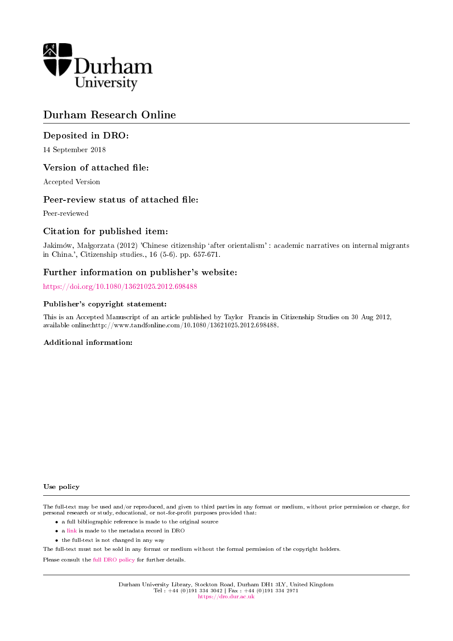

# Durham Research Online

## Deposited in DRO:

14 September 2018

## Version of attached file:

Accepted Version

## Peer-review status of attached file:

Peer-reviewed

## Citation for published item:

Jakimów, Małgorzata (2012) 'Chinese citizenship 'after orientalism' : academic narratives on internal migrants in China.', Citizenship studies., 16 (5-6). pp. 657-671.

## Further information on publisher's website:

<https://doi.org/10.1080/13621025.2012.698488>

#### Publisher's copyright statement:

This is an Accepted Manuscript of an article published by Taylor Francis in Citizenship Studies on 30 Aug 2012, available online:http://www.tandfonline.com/10.1080/13621025.2012.698488.

#### Additional information:

#### Use policy

The full-text may be used and/or reproduced, and given to third parties in any format or medium, without prior permission or charge, for personal research or study, educational, or not-for-profit purposes provided that:

- a full bibliographic reference is made to the original source
- a [link](http://dro.dur.ac.uk/26197/) is made to the metadata record in DRO
- the full-text is not changed in any way

The full-text must not be sold in any format or medium without the formal permission of the copyright holders.

Please consult the [full DRO policy](https://dro.dur.ac.uk/policies/usepolicy.pdf) for further details.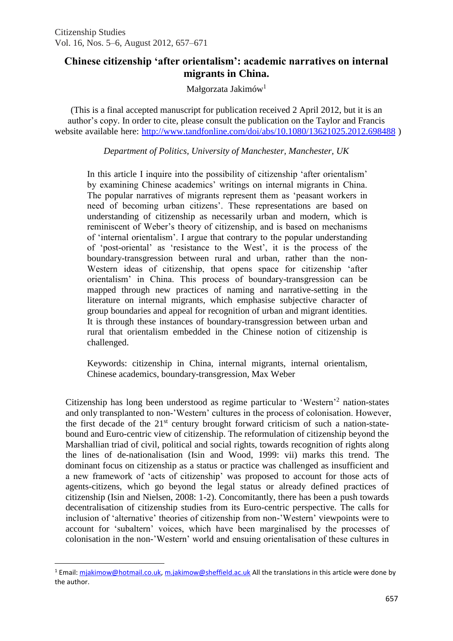## **Chinese citizenship 'after orientalism': academic narratives on internal migrants in China.**

Małgorzata Jakimów<sup>1</sup>

(This is a final accepted manuscript for publication received 2 April 2012, but it is an author's copy. In order to cite, please consult the publication on the Taylor and Francis website available here:<http://www.tandfonline.com/doi/abs/10.1080/13621025.2012.698488> )

*Department of Politics, University of Manchester, Manchester, UK*

In this article I inquire into the possibility of citizenship 'after orientalism' by examining Chinese academics' writings on internal migrants in China. The popular narratives of migrants represent them as 'peasant workers in need of becoming urban citizens'. These representations are based on understanding of citizenship as necessarily urban and modern, which is reminiscent of Weber's theory of citizenship, and is based on mechanisms of 'internal orientalism'. I argue that contrary to the popular understanding of 'post-oriental' as 'resistance to the West', it is the process of the boundary-transgression between rural and urban, rather than the non-Western ideas of citizenship, that opens space for citizenship 'after orientalism' in China. This process of boundary-transgression can be mapped through new practices of naming and narrative-setting in the literature on internal migrants, which emphasise subjective character of group boundaries and appeal for recognition of urban and migrant identities. It is through these instances of boundary-transgression between urban and rural that orientalism embedded in the Chinese notion of citizenship is challenged.

Keywords: citizenship in China, internal migrants, internal orientalism, Chinese academics, boundary-transgression, Max Weber

Citizenship has long been understood as regime particular to 'Western'<sup>2</sup> nation-states and only transplanted to non-'Western' cultures in the process of colonisation. However, the first decade of the  $21<sup>st</sup>$  century brought forward criticism of such a nation-statebound and Euro-centric view of citizenship. The reformulation of citizenship beyond the Marshallian triad of civil, political and social rights, towards recognition of rights along the lines of de-nationalisation (Isin and Wood, 1999: vii) marks this trend. The dominant focus on citizenship as a status or practice was challenged as insufficient and a new framework of 'acts of citizenship' was proposed to account for those acts of agents-citizens, which go beyond the legal status or already defined practices of citizenship (Isin and Nielsen, 2008: 1-2). Concomitantly, there has been a push towards decentralisation of citizenship studies from its Euro-centric perspective. The calls for inclusion of 'alternative' theories of citizenship from non-'Western' viewpoints were to account for 'subaltern' voices, which have been marginalised by the processes of colonisation in the non-'Western' world and ensuing orientalisation of these cultures in

 $\overline{a}$ 

<sup>&</sup>lt;sup>1</sup> Email: miakimow@hotmail.co.uk, [m.jakimow@sheffield.ac.uk](mailto:m.jakimow@sheffield.ac.uk) All the translations in this article were done by the author.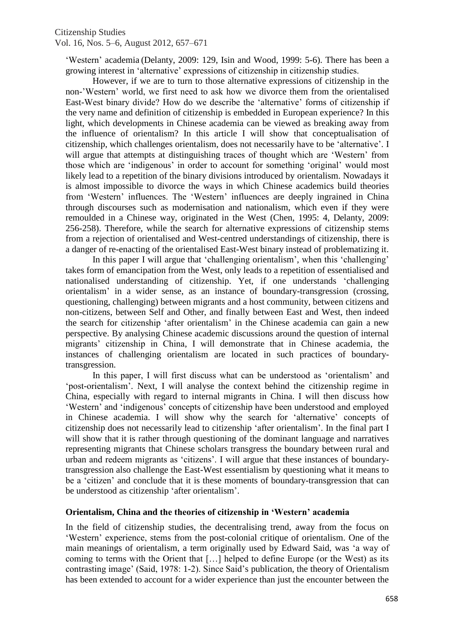'Western' academia (Delanty, 2009: 129, Isin and Wood, 1999: 5-6). There has been a growing interest in 'alternative' expressions of citizenship in citizenship studies.

However, if we are to turn to those alternative expressions of citizenship in the non-'Western' world, we first need to ask how we divorce them from the orientalised East-West binary divide? How do we describe the 'alternative' forms of citizenship if the very name and definition of citizenship is embedded in European experience? In this light, which developments in Chinese academia can be viewed as breaking away from the influence of orientalism? In this article I will show that conceptualisation of citizenship, which challenges orientalism, does not necessarily have to be 'alternative'. I will argue that attempts at distinguishing traces of thought which are 'Western' from those which are 'indigenous' in order to account for something 'original' would most likely lead to a repetition of the binary divisions introduced by orientalism. Nowadays it is almost impossible to divorce the ways in which Chinese academics build theories from 'Western' influences. The 'Western' influences are deeply ingrained in China through discourses such as modernisation and nationalism, which even if they were remoulded in a Chinese way, originated in the West (Chen, 1995: 4, Delanty, 2009: 256-258). Therefore, while the search for alternative expressions of citizenship stems from a rejection of orientalised and West-centred understandings of citizenship, there is a danger of re-enacting of the orientalised East-West binary instead of problematizing it.

In this paper I will argue that 'challenging orientalism', when this 'challenging' takes form of emancipation from the West, only leads to a repetition of essentialised and nationalised understanding of citizenship. Yet, if one understands 'challenging orientalism' in a wider sense, as an instance of boundary-transgression (crossing, questioning, challenging) between migrants and a host community, between citizens and non-citizens, between Self and Other, and finally between East and West, then indeed the search for citizenship 'after orientalism' in the Chinese academia can gain a new perspective. By analysing Chinese academic discussions around the question of internal migrants' citizenship in China, I will demonstrate that in Chinese academia, the instances of challenging orientalism are located in such practices of boundarytransgression.

In this paper, I will first discuss what can be understood as 'orientalism' and 'post-orientalism'. Next, I will analyse the context behind the citizenship regime in China, especially with regard to internal migrants in China. I will then discuss how 'Western' and 'indigenous' concepts of citizenship have been understood and employed in Chinese academia. I will show why the search for 'alternative' concepts of citizenship does not necessarily lead to citizenship 'after orientalism'. In the final part I will show that it is rather through questioning of the dominant language and narratives representing migrants that Chinese scholars transgress the boundary between rural and urban and redeem migrants as 'citizens'. I will argue that these instances of boundarytransgression also challenge the East-West essentialism by questioning what it means to be a 'citizen' and conclude that it is these moments of boundary-transgression that can be understood as citizenship 'after orientalism'.

## **Orientalism, China and the theories of citizenship in 'Western' academia**

In the field of citizenship studies, the decentralising trend, away from the focus on 'Western' experience, stems from the post-colonial critique of orientalism. One of the main meanings of orientalism, a term originally used by Edward Said, was 'a way of coming to terms with the Orient that […] helped to define Europe (or the West) as its contrasting image' (Said, 1978: 1-2). Since Said's publication, the theory of Orientalism has been extended to account for a wider experience than just the encounter between the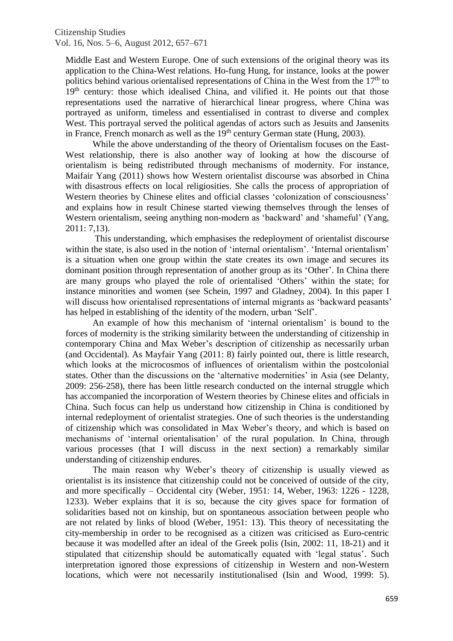Middle East and Western Europe. One of such extensions of the original theory was its application to the China-West relations. Ho-fung Hung, for instance, looks at the power politics behind various orientalised representations of China in the West from the  $17<sup>th</sup>$  to 19<sup>th</sup> century: those which idealised China, and vilified it. He points out that those representations used the narrative of hierarchical linear progress, where China was portrayed as uniform, timeless and essentialised in contrast to diverse and complex West. This portrayal served the political agendas of actors such as Jesuits and Jansenits in France, French monarch as well as the 19<sup>th</sup> century German state (Hung, 2003).

While the above understanding of the theory of Orientalism focuses on the East-West relationship, there is also another way of looking at how the discourse of orientalism is being redistributed through mechanisms of modernity. For instance, Maifair Yang (2011) shows how Western orientalist discourse was absorbed in China with disastrous effects on local religiosities. She calls the process of appropriation of Western theories by Chinese elites and official classes 'colonization of consciousness' and explains how in result Chinese started viewing themselves through the lenses of Western orientalism, seeing anything non-modern as 'backward' and 'shameful' (Yang, 2011: 7,13).

This understanding, which emphasises the redeployment of orientalist discourse within the state, is also used in the notion of 'internal orientalism'. 'Internal orientalism' is a situation when one group within the state creates its own image and secures its dominant position through representation of another group as its 'Other'. In China there are many groups who played the role of orientalised 'Others' within the state; for instance minorities and women (see Schein, 1997 and Gladney, 2004). In this paper I will discuss how orientalised representations of internal migrants as 'backward peasants' has helped in establishing of the identity of the modern, urban 'Self'.

An example of how this mechanism of 'internal orientalism' is bound to the forces of modernity is the striking similarity between the understanding of citizenship in contemporary China and Max Weber's description of citizenship as necessarily urban (and Occidental). As Mayfair Yang (2011: 8) fairly pointed out, there is little research, which looks at the microcosmos of influences of orientalism within the postcolonial states. Other than the discussions on the 'alternative modernities' in Asia (see Delanty, 2009: 256-258), there has been little research conducted on the internal struggle which has accompanied the incorporation of Western theories by Chinese elites and officials in China. Such focus can help us understand how citizenship in China is conditioned by internal redeployment of orientalist strategies. One of such theories is the understanding of citizenship which was consolidated in Max Weber's theory, and which is based on mechanisms of 'internal orientalisation' of the rural population. In China, through various processes (that I will discuss in the next section) a remarkably similar understanding of citizenship endures.

The main reason why Weber's theory of citizenship is usually viewed as orientalist is its insistence that citizenship could not be conceived of outside of the city, and more specifically – Occidental city (Weber, 1951: 14, Weber, 1963: 1226 - 1228, 1233). Weber explains that it is so, because the city gives space for formation of solidarities based not on kinship, but on spontaneous association between people who are not related by links of blood (Weber, 1951: 13). This theory of necessitating the city-membership in order to be recognised as a citizen was criticised as Euro-centric because it was modelled after an ideal of the Greek polis (Isin, 2002: 11, 18-21) and it stipulated that citizenship should be automatically equated with 'legal status'. Such interpretation ignored those expressions of citizenship in Western and non-Western locations, which were not necessarily institutionalised (Isin and Wood, 1999: 5).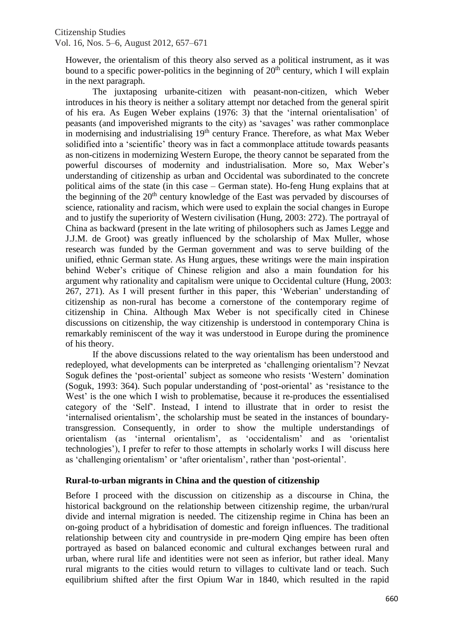However, the orientalism of this theory also served as a political instrument, as it was bound to a specific power-politics in the beginning of  $20<sup>th</sup>$  century, which I will explain in the next paragraph.

The juxtaposing urbanite-citizen with peasant-non-citizen, which Weber introduces in his theory is neither a solitary attempt nor detached from the general spirit of his era. As Eugen Weber explains (1976: 3) that the 'internal orientalisation' of peasants (and impoverished migrants to the city) as 'savages' was rather commonplace in modernising and industrialising 19<sup>th</sup> century France. Therefore, as what Max Weber solidified into a 'scientific' theory was in fact a commonplace attitude towards peasants as non-citizens in modernizing Western Europe, the theory cannot be separated from the powerful discourses of modernity and industrialisation. More so, Max Weber's understanding of citizenship as urban and Occidental was subordinated to the concrete political aims of the state (in this case – German state). Ho-feng Hung explains that at the beginning of the 20<sup>th</sup> century knowledge of the East was pervaded by discourses of science, rationality and racism, which were used to explain the social changes in Europe and to justify the superiority of Western civilisation (Hung, 2003: 272). The portrayal of China as backward (present in the late writing of philosophers such as James Legge and J.J.M. de Groot) was greatly influenced by the scholarship of Max Muller, whose research was funded by the German government and was to serve building of the unified, ethnic German state. As Hung argues, these writings were the main inspiration behind Weber's critique of Chinese religion and also a main foundation for his argument why rationality and capitalism were unique to Occidental culture (Hung, 2003: 267, 271). As I will present further in this paper, this 'Weberian' understanding of citizenship as non-rural has become a cornerstone of the contemporary regime of citizenship in China. Although Max Weber is not specifically cited in Chinese discussions on citizenship, the way citizenship is understood in contemporary China is remarkably reminiscent of the way it was understood in Europe during the prominence of his theory.

If the above discussions related to the way orientalism has been understood and redeployed, what developments can be interpreted as 'challenging orientalism'? Nevzat Soguk defines the 'post-oriental' subject as someone who resists 'Western' domination (Soguk, 1993: 364). Such popular understanding of 'post-oriental' as 'resistance to the West' is the one which I wish to problematise, because it re-produces the essentialised category of the 'Self'. Instead, I intend to illustrate that in order to resist the 'internalised orientalism', the scholarship must be seated in the instances of boundarytransgression. Consequently, in order to show the multiple understandings of orientalism (as 'internal orientalism', as 'occidentalism' and as 'orientalist technologies'), I prefer to refer to those attempts in scholarly works I will discuss here as 'challenging orientalism' or 'after orientalism', rather than 'post-oriental'.

## **Rural-to-urban migrants in China and the question of citizenship**

Before I proceed with the discussion on citizenship as a discourse in China, the historical background on the relationship between citizenship regime, the urban/rural divide and internal migration is needed. The citizenship regime in China has been an on-going product of a hybridisation of domestic and foreign influences. The traditional relationship between city and countryside in pre-modern Qing empire has been often portrayed as based on balanced economic and cultural exchanges between rural and urban, where rural life and identities were not seen as inferior, but rather ideal. Many rural migrants to the cities would return to villages to cultivate land or teach. Such equilibrium shifted after the first Opium War in 1840, which resulted in the rapid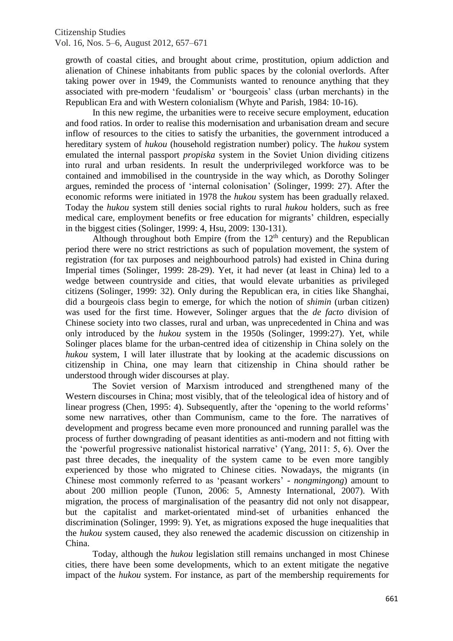growth of coastal cities, and brought about crime, prostitution, opium addiction and alienation of Chinese inhabitants from public spaces by the colonial overlords. After taking power over in 1949, the Communists wanted to renounce anything that they associated with pre-modern 'feudalism' or 'bourgeois' class (urban merchants) in the Republican Era and with Western colonialism (Whyte and Parish, 1984: 10-16).

In this new regime, the urbanities were to receive secure employment, education and food ratios. In order to realise this modernisation and urbanisation dream and secure inflow of resources to the cities to satisfy the urbanities, the government introduced a hereditary system of *hukou* (household registration number) policy. The *hukou* system emulated the internal passport *propiska* system in the Soviet Union dividing citizens into rural and urban residents. In result the underprivileged workforce was to be contained and immobilised in the countryside in the way which, as Dorothy Solinger argues, reminded the process of 'internal colonisation' (Solinger, 1999: 27). After the economic reforms were initiated in 1978 the *hukou* system has been gradually relaxed. Today the *hukou* system still denies social rights to rural *hukou* holders, such as free medical care, employment benefits or free education for migrants' children, especially in the biggest cities (Solinger, 1999: 4, Hsu, 2009: 130-131).

Although throughout both Empire (from the  $12<sup>th</sup>$  century) and the Republican period there were no strict restrictions as such of population movement, the system of registration (for tax purposes and neighbourhood patrols) had existed in China during Imperial times (Solinger, 1999: 28-29). Yet, it had never (at least in China) led to a wedge between countryside and cities, that would elevate urbanities as privileged citizens (Solinger, 1999: 32). Only during the Republican era, in cities like Shanghai, did a bourgeois class begin to emerge, for which the notion of *shimin* (urban citizen) was used for the first time. However, Solinger argues that the *de facto* division of Chinese society into two classes, rural and urban, was unprecedented in China and was only introduced by the *hukou* system in the 1950s (Solinger, 1999:27). Yet, while Solinger places blame for the urban-centred idea of citizenship in China solely on the *hukou* system, I will later illustrate that by looking at the academic discussions on citizenship in China, one may learn that citizenship in China should rather be understood through wider discourses at play.

The Soviet version of Marxism introduced and strengthened many of the Western discourses in China; most visibly, that of the teleological idea of history and of linear progress (Chen, 1995: 4). Subsequently, after the 'opening to the world reforms' some new narratives, other than Communism, came to the fore. The narratives of development and progress became even more pronounced and running parallel was the process of further downgrading of peasant identities as anti-modern and not fitting with the 'powerful progressive nationalist historical narrative' (Yang, 2011: 5, 6). Over the past three decades, the inequality of the system came to be even more tangibly experienced by those who migrated to Chinese cities. Nowadays, the migrants (in Chinese most commonly referred to as 'peasant workers' - *nongmingong*) amount to about 200 million people (Tunon, 2006: 5, Amnesty International, 2007). With migration, the process of marginalisation of the peasantry did not only not disappear, but the capitalist and market-orientated mind-set of urbanities enhanced the discrimination (Solinger, 1999: 9). Yet, as migrations exposed the huge inequalities that the *hukou* system caused, they also renewed the academic discussion on citizenship in China.

Today, although the *hukou* legislation still remains unchanged in most Chinese cities, there have been some developments, which to an extent mitigate the negative impact of the *hukou* system. For instance, as part of the membership requirements for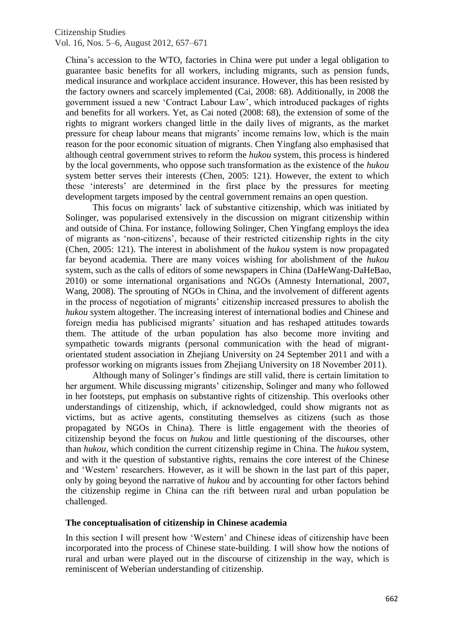China's accession to the WTO, factories in China were put under a legal obligation to guarantee basic benefits for all workers, including migrants, such as pension funds, medical insurance and workplace accident insurance. However, this has been resisted by the factory owners and scarcely implemented (Cai, 2008: 68). Additionally, in 2008 the government issued a new 'Contract Labour Law', which introduced packages of rights and benefits for all workers. Yet, as Cai noted (2008: 68), the extension of some of the rights to migrant workers changed little in the daily lives of migrants, as the market pressure for cheap labour means that migrants' income remains low, which is the main reason for the poor economic situation of migrants. Chen Yingfang also emphasised that although central government strives to reform the *hukou* system, this process is hindered by the local governments, who oppose such transformation as the existence of the *hukou*  system better serves their interests (Chen, 2005: 121). However, the extent to which these 'interests' are determined in the first place by the pressures for meeting development targets imposed by the central government remains an open question.

This focus on migrants' lack of substantive citizenship, which was initiated by Solinger, was popularised extensively in the discussion on migrant citizenship within and outside of China. For instance, following Solinger, Chen Yingfang employs the idea of migrants as 'non-citizens', because of their restricted citizenship rights in the city (Chen, 2005: 121). The interest in abolishment of the *hukou* system is now propagated far beyond academia. There are many voices wishing for abolishment of the *hukou*  system, such as the calls of editors of some newspapers in China (DaHeWang-DaHeBao, 2010) or some international organisations and NGOs (Amnesty International, 2007, Wang, 2008). The sprouting of NGOs in China, and the involvement of different agents in the process of negotiation of migrants' citizenship increased pressures to abolish the *hukou* system altogether. The increasing interest of international bodies and Chinese and foreign media has publicised migrants' situation and has reshaped attitudes towards them. The attitude of the urban population has also become more inviting and sympathetic towards migrants (personal communication with the head of migrantorientated student association in Zhejiang University on 24 September 2011 and with a professor working on migrants issues from Zhejiang University on 18 November 2011).

Although many of Solinger's findings are still valid, there is certain limitation to her argument. While discussing migrants' citizenship, Solinger and many who followed in her footsteps, put emphasis on substantive rights of citizenship. This overlooks other understandings of citizenship, which, if acknowledged, could show migrants not as victims, but as active agents, constituting themselves as citizens (such as those propagated by NGOs in China). There is little engagement with the theories of citizenship beyond the focus on *hukou* and little questioning of the discourses, other than *hukou,* which condition the current citizenship regime in China. The *hukou* system, and with it the question of substantive rights, remains the core interest of the Chinese and 'Western' researchers. However, as it will be shown in the last part of this paper, only by going beyond the narrative of *hukou* and by accounting for other factors behind the citizenship regime in China can the rift between rural and urban population be challenged.

## **The conceptualisation of citizenship in Chinese academia**

In this section I will present how 'Western' and Chinese ideas of citizenship have been incorporated into the process of Chinese state-building. I will show how the notions of rural and urban were played out in the discourse of citizenship in the way, which is reminiscent of Weberian understanding of citizenship.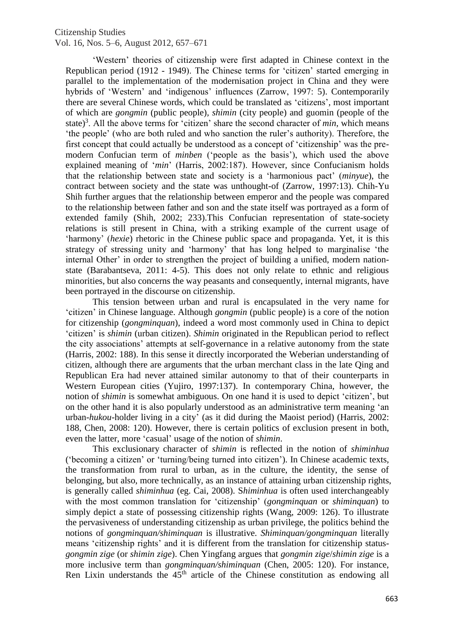'Western' theories of citizenship were first adapted in Chinese context in the Republican period (1912 - 1949). The Chinese terms for 'citizen' started emerging in parallel to the implementation of the modernisation project in China and they were hybrids of 'Western' and 'indigenous' influences (Zarrow, 1997: 5). Contemporarily there are several Chinese words, which could be translated as 'citizens'*,* most important of which are *gongmin* (public people)*, shimin* (city people) and guomin (people of the state)<sup>3</sup>. All the above terms for 'citizen' share the second character of *min*, which means 'the people' (who are both ruled and who sanction the ruler's authority). Therefore, the first concept that could actually be understood as a concept of 'citizenship' was the premodern Confucian term of *minben* ('people as the basis'), which used the above explained meaning of '*min*' (Harris, 2002:187). However, since Confucianism holds that the relationship between state and society is a 'harmonious pact' (*minyue*), the contract between society and the state was unthought-of (Zarrow, 1997:13). Chih-Yu Shih further argues that the relationship between emperor and the people was compared to the relationship between father and son and the state itself was portrayed as a form of extended family (Shih, 2002; 233).This Confucian representation of state-society relations is still present in China, with a striking example of the current usage of 'harmony' (*hexie*) rhetoric in the Chinese public space and propaganda. Yet, it is this strategy of stressing unity and 'harmony' that has long helped to marginalise 'the internal Other' in order to strengthen the project of building a unified, modern nationstate (Barabantseva, 2011: 4-5). This does not only relate to ethnic and religious minorities, but also concerns the way peasants and consequently, internal migrants, have been portrayed in the discourse on citizenship.

This tension between urban and rural is encapsulated in the very name for 'citizen' in Chinese language. Although *gongmin* (public people) is a core of the notion for citizenship (*gongminquan*), indeed a word most commonly used in China to depict 'citizen' is *shimin* (urban citizen). *Shimin* originated in the Republican period to reflect the city associations' attempts at self-governance in a relative autonomy from the state (Harris, 2002: 188). In this sense it directly incorporated the Weberian understanding of citizen, although there are arguments that the urban merchant class in the late Qing and Republican Era had never attained similar autonomy to that of their counterparts in Western European cities (Yujiro, 1997:137). In contemporary China, however, the notion of *shimin* is somewhat ambiguous. On one hand it is used to depict 'citizen', but on the other hand it is also popularly understood as an administrative term meaning 'an urban*-hukou*-holder living in a city' (as it did during the Maoist period) (Harris, 2002: 188, Chen, 2008: 120). However, there is certain politics of exclusion present in both, even the latter, more 'casual' usage of the notion of *shimin*.

This exclusionary character of *shimin* is reflected in the notion of *shiminhua* ('becoming a citizen' or 'turning/being turned into citizen'). In Chinese academic texts, the transformation from rural to urban, as in the culture, the identity, the sense of belonging, but also, more technically, as an instance of attaining urban citizenship rights, is generally called *shiminhua* (eg. Cai, 2008). S*himinhua* is often used interchangeably with the most common translation for 'citizenship' (*gongminquan* or *shiminquan*) to simply depict a state of possessing citizenship rights (Wang, 2009: 126). To illustrate the pervasiveness of understanding citizenship as urban privilege, the politics behind the notions of *gongminquan/shiminquan* is illustrative. *Shiminquan/gongminquan* literally means 'citizenship rights' and it is different from the translation for citizenship status*gongmin zige* (or *shimin zige*). Chen Yingfang argues that *gongmin zige*/*shimin zige* is a more inclusive term than *gongminquan/shiminquan* (Chen, 2005: 120). For instance, Ren Lixin understands the  $45<sup>th</sup>$  article of the Chinese constitution as endowing all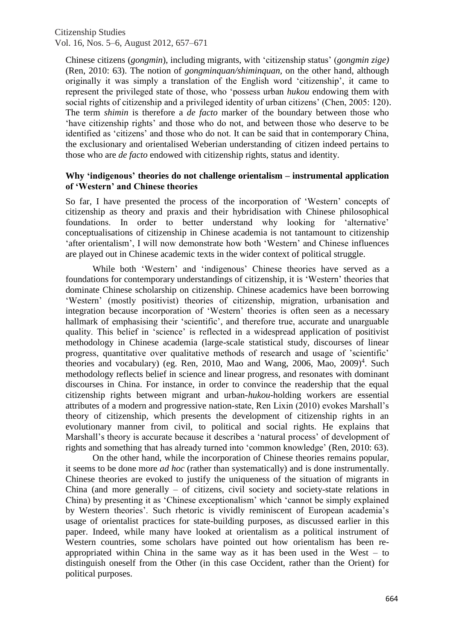Chinese citizens (*gongmin*), including migrants, with 'citizenship status' (*gongmin zige)* (Ren, 2010: 63). The notion of *gongminquan/shiminquan,* on the other hand, although originally it was simply a translation of the English word 'citizenship', it came to represent the privileged state of those, who 'possess urban *hukou* endowing them with social rights of citizenship and a privileged identity of urban citizens' (Chen, 2005: 120). The term *shimin* is therefore a *de facto* marker of the boundary between those who 'have citizenship rights' and those who do not, and between those who deserve to be identified as 'citizens' and those who do not. It can be said that in contemporary China, the exclusionary and orientalised Weberian understanding of citizen indeed pertains to those who are *de facto* endowed with citizenship rights, status and identity.

#### **Why 'indigenous' theories do not challenge orientalism – instrumental application of 'Western' and Chinese theories**

So far, I have presented the process of the incorporation of 'Western' concepts of citizenship as theory and praxis and their hybridisation with Chinese philosophical foundations. In order to better understand why looking for 'alternative' conceptualisations of citizenship in Chinese academia is not tantamount to citizenship 'after orientalism', I will now demonstrate how both 'Western' and Chinese influences are played out in Chinese academic texts in the wider context of political struggle.

While both 'Western' and 'indigenous' Chinese theories have served as a foundations for contemporary understandings of citizenship, it is 'Western' theories that dominate Chinese scholarship on citizenship. Chinese academics have been borrowing 'Western' (mostly positivist) theories of citizenship, migration, urbanisation and integration because incorporation of 'Western' theories is often seen as a necessary hallmark of emphasising their 'scientific', and therefore true, accurate and unarguable quality. This belief in 'science' is reflected in a widespread application of positivist methodology in Chinese academia (large-scale statistical study, discourses of linear progress, quantitative over qualitative methods of research and usage of 'scientific' theories and vocabulary) (eg. Ren, 2010, Mao and Wang, 2006, Mao, 2009)<sup>4</sup>. Such methodology reflects belief in science and linear progress, and resonates with dominant discourses in China. For instance, in order to convince the readership that the equal citizenship rights between migrant and urban-*hukou-*holding workers are essential attributes of a modern and progressive nation-state, Ren Lixin (2010) evokes Marshall's theory of citizenship, which presents the development of citizenship rights in an evolutionary manner from civil, to political and social rights. He explains that Marshall's theory is accurate because it describes a 'natural process' of development of rights and something that has already turned into 'common knowledge' (Ren, 2010: 63).

On the other hand, while the incorporation of Chinese theories remains popular, it seems to be done more *ad hoc* (rather than systematically) and is done instrumentally. Chinese theories are evoked to justify the uniqueness of the situation of migrants in China (and more generally – of citizens, civil society and society-state relations in China) by presenting it as 'Chinese exceptionalism' which 'cannot be simply explained by Western theories'. Such rhetoric is vividly reminiscent of European academia's usage of orientalist practices for state-building purposes, as discussed earlier in this paper. Indeed, while many have looked at orientalism as a political instrument of Western countries, some scholars have pointed out how orientalism has been reappropriated within China in the same way as it has been used in the West – to distinguish oneself from the Other (in this case Occident, rather than the Orient) for political purposes.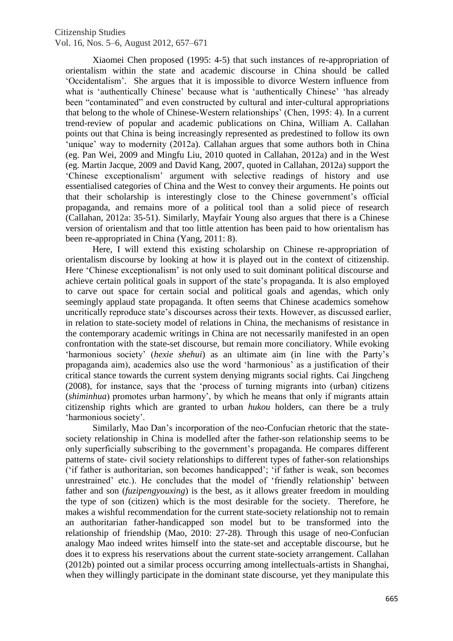Xiaomei Chen proposed (1995: 4-5) that such instances of re-appropriation of orientalism within the state and academic discourse in China should be called 'Occidentalism'. She argues that it is impossible to divorce Western influence from what is 'authentically Chinese' because what is 'authentically Chinese' 'has already been "contaminated" and even constructed by cultural and inter-cultural appropriations that belong to the whole of Chinese-Western relationships' (Chen, 1995: 4). In a current trend-review of popular and academic publications on China, William A. Callahan points out that China is being increasingly represented as predestined to follow its own 'unique' way to modernity (2012a). Callahan argues that some authors both in China (eg. Pan Wei, 2009 and Mingfu Liu, 2010 quoted in Callahan, 2012a) and in the West (eg. Martin Jacque, 2009 and David Kang, 2007, quoted in Callahan, 2012a) support the 'Chinese exceptionalism' argument with selective readings of history and use essentialised categories of China and the West to convey their arguments. He points out that their scholarship is interestingly close to the Chinese government's official propaganda, and remains more of a political tool than a solid piece of research (Callahan, 2012a: 35-51). Similarly, Mayfair Young also argues that there is a Chinese version of orientalism and that too little attention has been paid to how orientalism has been re-appropriated in China (Yang, 2011: 8).

Here, I will extend this existing scholarship on Chinese re-appropriation of orientalism discourse by looking at how it is played out in the context of citizenship. Here 'Chinese exceptionalism' is not only used to suit dominant political discourse and achieve certain political goals in support of the state's propaganda. It is also employed to carve out space for certain social and political goals and agendas, which only seemingly applaud state propaganda. It often seems that Chinese academics somehow uncritically reproduce state's discourses across their texts. However, as discussed earlier, in relation to state-society model of relations in China, the mechanisms of resistance in the contemporary academic writings in China are not necessarily manifested in an open confrontation with the state-set discourse, but remain more conciliatory. While evoking 'harmonious society' (*hexie shehui*) as an ultimate aim (in line with the Party's propaganda aim), academics also use the word 'harmonious' as a justification of their critical stance towards the current system denying migrants social rights. Cai Jingcheng (2008), for instance, says that the 'process of turning migrants into (urban) citizens (*shiminhua*) promotes urban harmony', by which he means that only if migrants attain citizenship rights which are granted to urban *hukou* holders, can there be a truly 'harmonious society'.

Similarly, Mao Dan's incorporation of the neo-Confucian rhetoric that the statesociety relationship in China is modelled after the father-son relationship seems to be only superficially subscribing to the government's propaganda. He compares different patterns of state- civil society relationships to different types of father-son relationships ('if father is authoritarian, son becomes handicapped'; 'if father is weak, son becomes unrestrained' etc.). He concludes that the model of 'friendly relationship' between father and son (*fuzipengyouxing*) is the best, as it allows greater freedom in moulding the type of son (citizen) which is the most desirable for the society. Therefore, he makes a wishful recommendation for the current state-society relationship not to remain an authoritarian father-handicapped son model but to be transformed into the relationship of friendship (Mao, 2010: 27-28). Through this usage of neo-Confucian analogy Mao indeed writes himself into the state-set and acceptable discourse, but he does it to express his reservations about the current state-society arrangement. Callahan (2012b) pointed out a similar process occurring among intellectuals-artists in Shanghai, when they willingly participate in the dominant state discourse, yet they manipulate this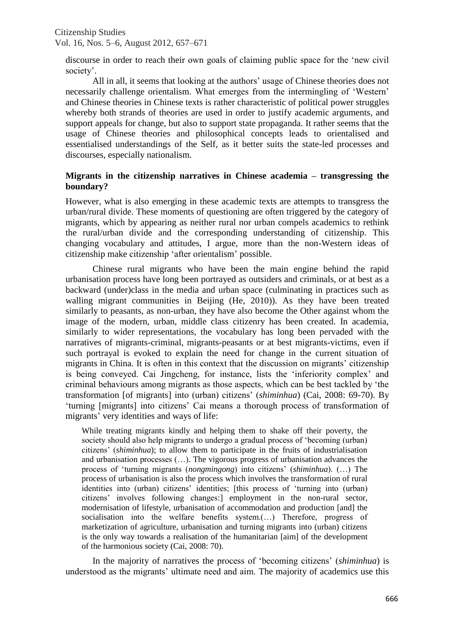discourse in order to reach their own goals of claiming public space for the 'new civil society'.

All in all, it seems that looking at the authors' usage of Chinese theories does not necessarily challenge orientalism. What emerges from the intermingling of 'Western' and Chinese theories in Chinese texts is rather characteristic of political power struggles whereby both strands of theories are used in order to justify academic arguments, and support appeals for change, but also to support state propaganda. It rather seems that the usage of Chinese theories and philosophical concepts leads to orientalised and essentialised understandings of the Self, as it better suits the state-led processes and discourses, especially nationalism.

## **Migrants in the citizenship narratives in Chinese academia – transgressing the boundary?**

However, what is also emerging in these academic texts are attempts to transgress the urban/rural divide. These moments of questioning are often triggered by the category of migrants, which by appearing as neither rural nor urban compels academics to rethink the rural/urban divide and the corresponding understanding of citizenship. This changing vocabulary and attitudes, I argue, more than the non-Western ideas of citizenship make citizenship 'after orientalism' possible.

Chinese rural migrants who have been the main engine behind the rapid urbanisation process have long been portrayed as outsiders and criminals, or at best as a backward (under)class in the media and urban space (culminating in practices such as walling migrant communities in Beijing (He, 2010)). As they have been treated similarly to peasants, as non-urban, they have also become the Other against whom the image of the modern, urban, middle class citizenry has been created. In academia, similarly to wider representations, the vocabulary has long been pervaded with the narratives of migrants-criminal, migrants-peasants or at best migrants-victims, even if such portrayal is evoked to explain the need for change in the current situation of migrants in China. It is often in this context that the discussion on migrants' citizenship is being conveyed. Cai Jingcheng, for instance, lists the 'inferiority complex' and criminal behaviours among migrants as those aspects, which can be best tackled by 'the transformation [of migrants] into (urban) citizens' (*shiminhua*) (Cai, 2008: 69-70). By 'turning [migrants] into citizens' Cai means a thorough process of transformation of migrants' very identities and ways of life:

While treating migrants kindly and helping them to shake off their poverty, the society should also help migrants to undergo a gradual process of 'becoming (urban) citizens' (*shiminhua*); to allow them to participate in the fruits of industrialisation and urbanisation processes (…). The vigorous progress of urbanisation advances the process of 'turning migrants (*nongmingong*) into citizens' (*shiminhua*). (…) The process of urbanisation is also the process which involves the transformation of rural identities into (urban) citizens' identities; [this process of 'turning into (urban) citizens' involves following changes:] employment in the non-rural sector, modernisation of lifestyle, urbanisation of accommodation and production [and] the socialisation into the welfare benefits system.(…) Therefore, progress of marketization of agriculture, urbanisation and turning migrants into (urban) citizens is the only way towards a realisation of the humanitarian [aim] of the development of the harmonious society (Cai, 2008: 70).

In the majority of narratives the process of 'becoming citizens' (*shiminhua*) is understood as the migrants' ultimate need and aim. The majority of academics use this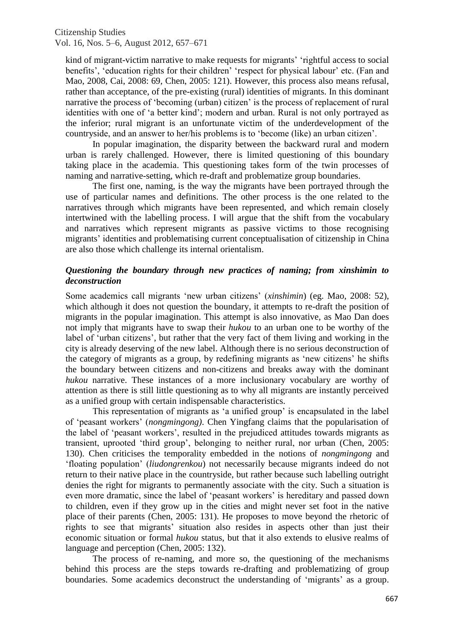kind of migrant-victim narrative to make requests for migrants' 'rightful access to social benefits', 'education rights for their children' 'respect for physical labour' etc. (Fan and Mao, 2008, Cai, 2008: 69, Chen, 2005: 121). However, this process also means refusal, rather than acceptance, of the pre-existing (rural) identities of migrants. In this dominant narrative the process of 'becoming (urban) citizen' is the process of replacement of rural identities with one of 'a better kind'; modern and urban. Rural is not only portrayed as the inferior; rural migrant is an unfortunate victim of the underdevelopment of the countryside, and an answer to her/his problems is to 'become (like) an urban citizen'.

In popular imagination, the disparity between the backward rural and modern urban is rarely challenged. However, there is limited questioning of this boundary taking place in the academia. This questioning takes form of the twin processes of naming and narrative-setting, which re-draft and problematize group boundaries.

The first one, naming, is the way the migrants have been portrayed through the use of particular names and definitions. The other process is the one related to the narratives through which migrants have been represented, and which remain closely intertwined with the labelling process. I will argue that the shift from the vocabulary and narratives which represent migrants as passive victims to those recognising migrants' identities and problematising current conceptualisation of citizenship in China are also those which challenge its internal orientalism.

## *Questioning the boundary through new practices of naming; from xinshimin to deconstruction*

Some academics call migrants 'new urban citizens' (*xinshimin*) (eg. Mao, 2008: 52), which although it does not question the boundary, it attempts to re-draft the position of migrants in the popular imagination. This attempt is also innovative, as Mao Dan does not imply that migrants have to swap their *hukou* to an urban one to be worthy of the label of 'urban citizens', but rather that the very fact of them living and working in the city is already deserving of the new label. Although there is no serious deconstruction of the category of migrants as a group, by redefining migrants as 'new citizens' he shifts the boundary between citizens and non-citizens and breaks away with the dominant *hukou* narrative. These instances of a more inclusionary vocabulary are worthy of attention as there is still little questioning as to why all migrants are instantly perceived as a unified group with certain indispensable characteristics.

This representation of migrants as 'a unified group' is encapsulated in the label of 'peasant workers' (*nongmingong)*. Chen Yingfang claims that the popularisation of the label of 'peasant workers', resulted in the prejudiced attitudes towards migrants as transient, uprooted 'third group', belonging to neither rural, nor urban (Chen, 2005: 130). Chen criticises the temporality embedded in the notions of *nongmingong* and 'floating population' (*liudongrenkou*) not necessarily because migrants indeed do not return to their native place in the countryside, but rather because such labelling outright denies the right for migrants to permanently associate with the city. Such a situation is even more dramatic, since the label of 'peasant workers' is hereditary and passed down to children, even if they grow up in the cities and might never set foot in the native place of their parents (Chen, 2005: 131). He proposes to move beyond the rhetoric of rights to see that migrants' situation also resides in aspects other than just their economic situation or formal *hukou* status, but that it also extends to elusive realms of language and perception (Chen, 2005: 132).

The process of re-naming, and more so, the questioning of the mechanisms behind this process are the steps towards re-drafting and problematizing of group boundaries. Some academics deconstruct the understanding of 'migrants' as a group.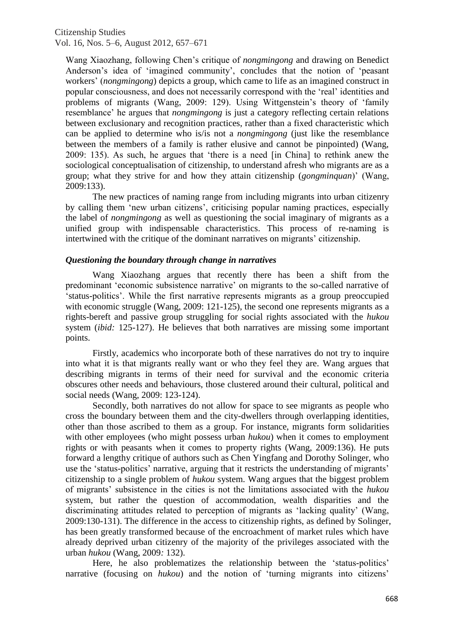Wang Xiaozhang, following Chen's critique of *nongmingong* and drawing on Benedict Anderson's idea of 'imagined community', concludes that the notion of 'peasant workers' (*nongmingong*) depicts a group, which came to life as an imagined construct in popular consciousness, and does not necessarily correspond with the 'real' identities and problems of migrants (Wang, 2009: 129). Using Wittgenstein's theory of 'family resemblance' he argues that *nongmingong* is just a category reflecting certain relations between exclusionary and recognition practices, rather than a fixed characteristic which can be applied to determine who is/is not a *nongmingong* (just like the resemblance between the members of a family is rather elusive and cannot be pinpointed) (Wang, 2009: 135). As such, he argues that 'there is a need [in China] to rethink anew the sociological conceptualisation of citizenship, to understand afresh who migrants are as a group; what they strive for and how they attain citizenship (*gongminquan*)' (Wang, 2009:133).

The new practices of naming range from including migrants into urban citizenry by calling them 'new urban citizens', criticising popular naming practices, especially the label of *nongmingong* as well as questioning the social imaginary of migrants as a unified group with indispensable characteristics. This process of re-naming is intertwined with the critique of the dominant narratives on migrants' citizenship.

#### *Questioning the boundary through change in narratives*

Wang Xiaozhang argues that recently there has been a shift from the predominant 'economic subsistence narrative' on migrants to the so-called narrative of 'status-politics'. While the first narrative represents migrants as a group preoccupied with economic struggle (Wang, 2009: 121-125), the second one represents migrants as a rights-bereft and passive group struggling for social rights associated with the *hukou*  system (*ibid:* 125-127). He believes that both narratives are missing some important points.

Firstly, academics who incorporate both of these narratives do not try to inquire into what it is that migrants really want or who they feel they are. Wang argues that describing migrants in terms of their need for survival and the economic criteria obscures other needs and behaviours, those clustered around their cultural, political and social needs (Wang, 2009: 123-124).

Secondly, both narratives do not allow for space to see migrants as people who cross the boundary between them and the city-dwellers through overlapping identities, other than those ascribed to them as a group. For instance, migrants form solidarities with other employees (who might possess urban *hukou*) when it comes to employment rights or with peasants when it comes to property rights (Wang, 2009:136). He puts forward a lengthy critique of authors such as Chen Yingfang and Dorothy Solinger, who use the 'status-politics' narrative, arguing that it restricts the understanding of migrants' citizenship to a single problem of *hukou* system. Wang argues that the biggest problem of migrants' subsistence in the cities is not the limitations associated with the *hukou* system, but rather the question of accommodation, wealth disparities and the discriminating attitudes related to perception of migrants as 'lacking quality' (Wang, 2009:130-131). The difference in the access to citizenship rights, as defined by Solinger, has been greatly transformed because of the encroachment of market rules which have already deprived urban citizenry of the majority of the privileges associated with the urban *hukou* (Wang, 2009*:* 132).

Here, he also problematizes the relationship between the 'status-politics' narrative (focusing on *hukou*) and the notion of 'turning migrants into citizens'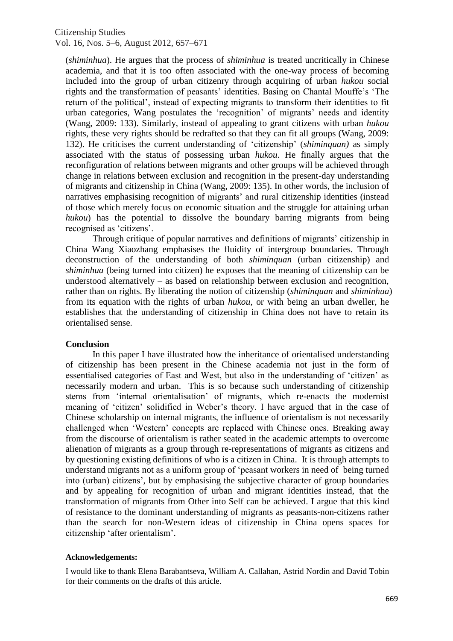(*shiminhua*). He argues that the process of *shiminhua* is treated uncritically in Chinese academia, and that it is too often associated with the one-way process of becoming included into the group of urban citizenry through acquiring of urban *hukou* social rights and the transformation of peasants' identities. Basing on Chantal Mouffe's 'The return of the political', instead of expecting migrants to transform their identities to fit urban categories, Wang postulates the 'recognition' of migrants' needs and identity (Wang, 2009: 133). Similarly, instead of appealing to grant citizens with urban *hukou*  rights, these very rights should be redrafted so that they can fit all groups (Wang, 2009: 132). He criticises the current understanding of 'citizenship' (*shiminquan)* as simply associated with the status of possessing urban *hukou*. He finally argues that the reconfiguration of relations between migrants and other groups will be achieved through change in relations between exclusion and recognition in the present-day understanding of migrants and citizenship in China (Wang, 2009: 135). In other words, the inclusion of narratives emphasising recognition of migrants' and rural citizenship identities (instead of those which merely focus on economic situation and the struggle for attaining urban *hukou*) has the potential to dissolve the boundary barring migrants from being recognised as 'citizens'.

Through critique of popular narratives and definitions of migrants' citizenship in China Wang Xiaozhang emphasises the fluidity of intergroup boundaries. Through deconstruction of the understanding of both *shiminquan* (urban citizenship) and *shiminhua* (being turned into citizen) he exposes that the meaning of citizenship can be understood alternatively – as based on relationship between exclusion and recognition, rather than on rights. By liberating the notion of citizenship (*shiminquan* and *shiminhua*) from its equation with the rights of urban *hukou,* or with being an urban dweller, he establishes that the understanding of citizenship in China does not have to retain its orientalised sense.

## **Conclusion**

In this paper I have illustrated how the inheritance of orientalised understanding of citizenship has been present in the Chinese academia not just in the form of essentialised categories of East and West, but also in the understanding of 'citizen' as necessarily modern and urban. This is so because such understanding of citizenship stems from 'internal orientalisation' of migrants, which re-enacts the modernist meaning of 'citizen' solidified in Weber's theory. I have argued that in the case of Chinese scholarship on internal migrants, the influence of orientalism is not necessarily challenged when 'Western' concepts are replaced with Chinese ones. Breaking away from the discourse of orientalism is rather seated in the academic attempts to overcome alienation of migrants as a group through re-representations of migrants as citizens and by questioning existing definitions of who is a citizen in China. It is through attempts to understand migrants not as a uniform group of 'peasant workers in need of being turned into (urban) citizens', but by emphasising the subjective character of group boundaries and by appealing for recognition of urban and migrant identities instead, that the transformation of migrants from Other into Self can be achieved. I argue that this kind of resistance to the dominant understanding of migrants as peasants-non-citizens rather than the search for non-Western ideas of citizenship in China opens spaces for citizenship 'after orientalism'.

#### **Acknowledgements:**

I would like to thank Elena Barabantseva, William A. Callahan, Astrid Nordin and David Tobin for their comments on the drafts of this article.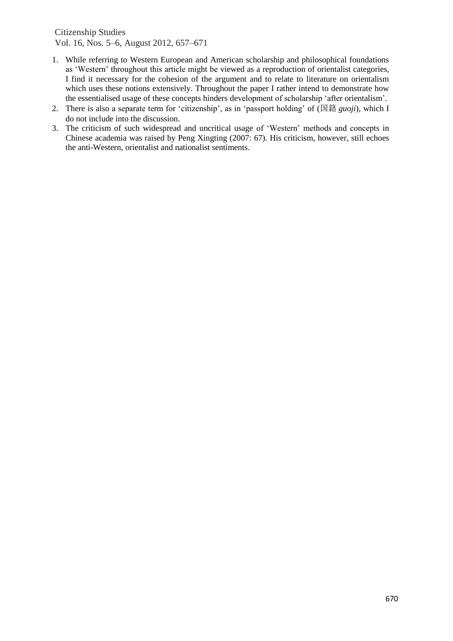- 1. While referring to Western European and American scholarship and philosophical foundations as 'Western' throughout this article might be viewed as a reproduction of orientalist categories, I find it necessary for the cohesion of the argument and to relate to literature on orientalism which uses these notions extensively. Throughout the paper I rather intend to demonstrate how the essentialised usage of these concepts hinders development of scholarship 'after orientalism'.
- 2. There is also a separate term for 'citizenship', as in 'passport holding' of (国籍 *guoji*), which I do not include into the discussion.
- 3. The criticism of such widespread and uncritical usage of 'Western' methods and concepts in Chinese academia was raised by Peng Xingting (2007: 67). His criticism, however, still echoes the anti-Western, orientalist and nationalist sentiments.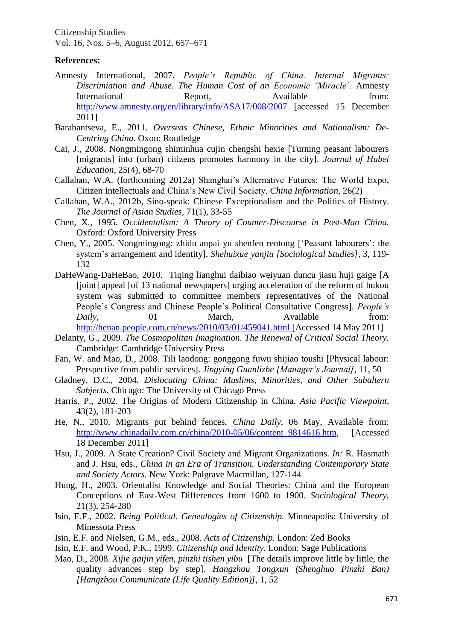## **References:**

- Amnesty International, 2007. *People's Republic of China. Internal Migrants: Discrimiation and Abuse. The Human Cost of an Economic 'Miracle'.* Amnesty International Report, Available from: <http://www.amnesty.org/en/library/info/ASA17/008/2007> [accessed 15 December 2011]
- Barabantseva, E., 2011. *Overseas Chinese, Ethnic Minorities and Nationalism: De-Centring China*. Oxon: Routledge
- Cai, J., 2008. Nongmingong shiminhua cujin chengshi hexie [Turning peasant labourers [migrants] into (urban) citizens promotes harmony in the city]. *Journal of Hubei Education,* 25(4), 68-70
- Callahan, W.A. (forthcoming 2012a) Shanghai's Alternative Futures: The World Expo, Citizen Intellectuals and China's New Civil Society. *China Information,* 26(2)
- Callahan, W.A., 2012b, Sino-speak: Chinese Exceptionalism and the Politics of History. *The Journal of Asian Studies,* 71(1), 33-55
- Chen, X., 1995. *Occidentalism: A Theory of Counter-Discourse in Post-Mao China.* Oxford: Oxford University Press
- Chen, Y., 2005. Nongmingong: zhidu anpai yu shenfen rentong ['Peasant labourers': the system's arrangement and identity], *Shehuixue yanjiu [Sociological Studies],* 3, 119- 132
- DaHeWang-DaHeBao, 2010. Tiqing lianghui daibiao weiyuan duncu jiasu huji gaige [A [joint] appeal [of 13 national newspapers] urging acceleration of the reform of hukou system was submitted to committee members representatives of the National People's Congress and Chinese People's Political Consultative Congress]. *People's Daily*, 01 March, Available from: <http://henan.people.com.cn/news/2010/03/01/459041.html> [Accessed 14 May 2011]
- Delanty, G., 2009. *The Cosmopolitan Imagination. The Renewal of Critical Social Theory.* Cambridge: Cambridge University Press
- Fan, W. and Mao, D., 2008. Tili laodong: gonggong fuwu shijiao toushi [Physical labour: Perspective from public services]. *Jingying Guanlizhe [Manager's Journal]*, 11, 50
- Gladney, D.C., 2004. *Dislocating China: Muslims, Minorities, and Other Subaltern Subjects.* Chicago: The University of Chicago Press
- Harris, P., 2002. The Origins of Modern Citizenship in China. *Asia Pacific Viewpoint,*  43(2), 181-203
- He, N., 2010. Migrants put behind fences, *China Daily,* 06 May, Available from: [http://www.chinadaily.com.cn/china/2010-05/06/content\\_9814616.htm,](http://www.chinadaily.com.cn/china/2010-05/06/content_9814616.htm) [Accessed 18 December 2011]
- Hsu, J., 2009. A State Creation? Civil Society and Migrant Organizations. *In:* R. Hasmath and J. Hsu, eds., *China in an Era of Transition. Understanding Contemporary State and Society Actors.* New York: Palgrave Macmillan, 127-144
- Hung, H., 2003. Orientalist Knowledge and Social Theories: China and the European Conceptions of East-West Differences from 1600 to 1900. *Sociological Theory,*  21(3), 254-280
- Isin, E.F., 2002. *Being Political. Genealogies of Citizenship.* Minneapolis: University of Minessota Press
- Isin, E.F. and Nielsen, G.M., eds., 2008. *Acts of Citizenship.* London: Zed Books
- Isin, E.F. and Wood, P.K., 1999. *Citizenship and Identity.* London: Sage Publications
- Mao, D., 2008. *Xijie gaijin yifen, pinzhi tishen yibu* [The details improve little by little, the quality advances step by step]. *Hangzhou Tongxun (Shenghuo Pinzhi Ban) [Hangzhou Communicate (Life Quality Edition)]*, 1, 52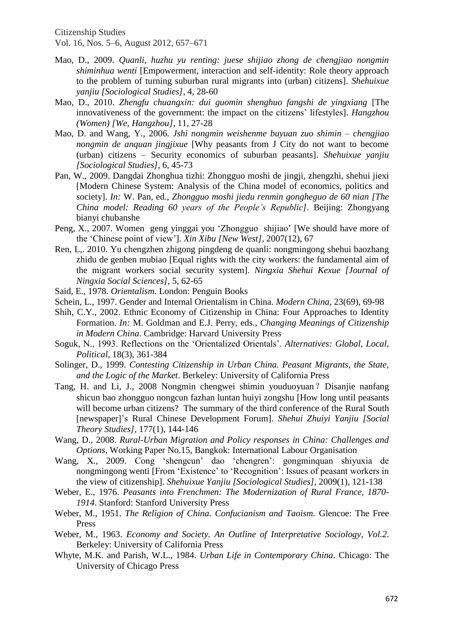Citizenship Studies

Vol. 16, Nos. 5–6, August 2012, 657–671

- Mao, D., 2009. *Quanli, huzhu yu renting: juese shijiao zhong de chengjiao nongmin shiminhua wenti* [Empowerment, interaction and self-identity: Role theory approach to the problem of turning suburban rural migrants into (urban) citizens]. *Shehuixue yanjiu [Sociological Studies]*, 4, 28-60
- Mao, D., 2010. *Zhengfu chuangxin: dui guomin shenghuo fangshi de yingxiang* [The innovativeness of the government: the impact on the citizens' lifestyles]. *Hangzhou (Women) [We, Hangzhou]*, 11, 27-28
- Mao, D. and Wang, Y., 2006. *Jshi nongmin weishenme buyuan zuo shimin – chengjiao nongmin de anquan jingjixue* [Why peasants from J City do not want to become (urban) citizens – Security economics of suburban peasants]. *Shehuixue yanjiu [Sociological Studies]*, 6, 45-73
- Pan, W., 2009. Dangdai Zhonghua tizhi: Zhongguo moshi de jingji, zhengzhi, shehui jiexi [Modern Chinese System: Analysis of the China model of economics, politics and society]. *In:* W. Pan, ed., *Zhongguo moshi jiedu renmin gongheguo de 60 nian [The China model: Reading 60 years of the People's Republic]*. Beijing: Zhongyang bianyi chubanshe
- Peng, X., 2007. Women geng yinggai you 'Zhongguo shijiao' [We should have more of the 'Chinese point of view']. *Xin Xibu [New West],* 2007(12), 67
- Ren, L,. 2010. Yu chengzhen zhigong pingdeng de quanli: nongmingong shehui baozhang zhidu de genben mubiao [Equal rights with the city workers: the fundamental aim of the migrant workers social security system]. *Ningxia Shehui Kexue [Journal of Ningxia Social Sciences],* 5, 62-65
- Said, E., 1978. *Orientalism.* London: Penguin Books
- Schein, L., 1997. Gender and Internal Orientalism in China. *Modern China,* 23(69), 69-98
- Shih, C.Y., 2002. Ethnic Economy of Citizenship in China: Four Approaches to Identity Formation. *In:* M. Goldman and E.J. Perry, eds., *Changing Meanings of Citizenship in Modern China*. Cambridge: Harvard University Press
- Soguk, N., 1993. Reflections on the 'Orientalized Orientals'. *Alternatives: Global, Local, Political*, 18(3), 361-384
- Solinger, D., 1999. *Contesting Citizenship in Urban China. Peasant Migrants, the State, and the Logic of the Market*. Berkeley: University of California Press
- Tang, H. and Li, J., 2008 Nongmin chengwei shimin youduoyuan? Disanjie nanfang shicun bao zhongguo nongcun fazhan luntan huiyi zongshu [How long until peasants will become urban citizens? The summary of the third conference of the Rural South [newspaper]'s Rural Chinese Development Forum]. *Shehui Zhuiyi Yanjiu [Social Theory Studies]*, 177(1), 144-146
- Wang, D., 2008. *Rural-Urban Migration and Policy responses in China: Challenges and Options*, Working Paper No.15, Bangkok: International Labour Organisation
- Wang, X., 2009. Cong 'shengcun' dao 'chengren': gongminquan shiyuxia de nongmingong wenti [From 'Existence' to 'Recognition': Issues of peasant workers in the view of citizenship]. *Shehuixue Yanjiu [Sociological Studies]*, 2009(1), 121-138
- Weber, E., 1976. *Peasants into Frenchmen: The Modernization of Rural France, 1870- 1914*. Stanford: Stanford University Press
- Weber, M., 1951. *The Religion of China. Confucianism and Taoism.* Glencoe: The Free Press
- Weber, M., 1963. *Economy and Society. An Outline of Interpretative Sociology, Vol.2*. Berkeley: University of California Press
- Whyte, M.K. and Parish, W.L., 1984. *Urban Life in Contemporary China*. Chicago: The University of Chicago Press